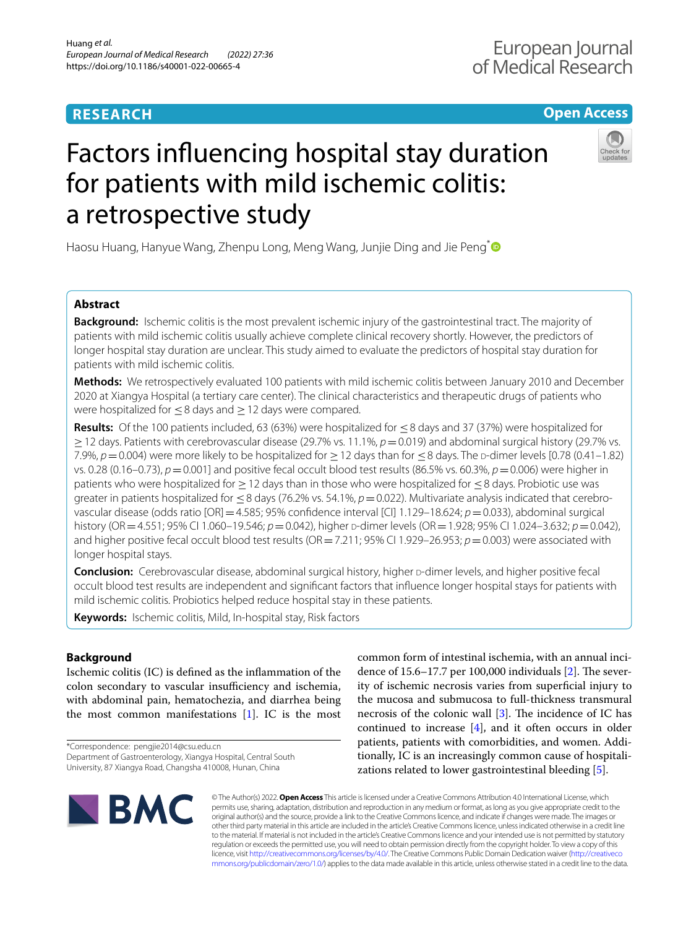# **RESEARCH**

# **Open Access**

# Factors infuencing hospital stay duration for patients with mild ischemic colitis: a retrospective study



Haosu Huang, Hanyue Wang, Zhenpu Long, Meng Wang, Junjie Ding and Jie Peng<sup>[\\*](http://orcid.org/0000-0002-6914-8260)</sup>

## **Abstract**

**Background:** Ischemic colitis is the most prevalent ischemic injury of the gastrointestinal tract. The majority of patients with mild ischemic colitis usually achieve complete clinical recovery shortly. However, the predictors of longer hospital stay duration are unclear. This study aimed to evaluate the predictors of hospital stay duration for patients with mild ischemic colitis.

**Methods:** We retrospectively evaluated 100 patients with mild ischemic colitis between January 2010 and December 2020 at Xiangya Hospital (a tertiary care center). The clinical characteristics and therapeutic drugs of patients who were hospitalized for ≤8 days and ≥12 days were compared.

**Results:** Of the 100 patients included, 63 (63%) were hospitalized for ≤8 days and 37 (37%) were hospitalized for  $\geq$  12 days. Patients with cerebrovascular disease (29.7% vs. 11.1%,  $p=0.019$ ) and abdominal surgical history (29.7% vs. 7.9%,  $p=0.004$ ) were more likely to be hospitalized for  $>12$  days than for <8 days. The p-dimer levels [0.78 (0.41–1.82) vs. 0.28 (0.16–0.73), *p*=0.001] and positive fecal occult blood test results (86.5% vs. 60.3%, *p*=0.006) were higher in patients who were hospitalized for ≥12 days than in those who were hospitalized for ≤8 days. Probiotic use was greater in patients hospitalized for  $\leq 8$  days (76.2% vs. 54.1%,  $p=0.022$ ). Multivariate analysis indicated that cerebrovascular disease (odds ratio [OR] = 4.585; 95% confidence interval [CI] 1.129–18.624; *p* = 0.033), abdominal surgical history (OR=4.551; 95% CI 1.060-19.546; *p*=0.042), higher p-dimer levels (OR=1.928; 95% CI 1.024-3.632; *p*=0.042), and higher positive fecal occult blood test results (OR = 7.211; 95% CI 1.929–26.953; *p* = 0.003) were associated with longer hospital stays.

**Conclusion:** Cerebrovascular disease, abdominal surgical history, higher p-dimer levels, and higher positive fecal occult blood test results are independent and signifcant factors that infuence longer hospital stays for patients with mild ischemic colitis. Probiotics helped reduce hospital stay in these patients.

**Keywords:** Ischemic colitis, Mild, In-hospital stay, Risk factors

# **Background**

Ischemic colitis (IC) is defned as the infammation of the colon secondary to vascular insufficiency and ischemia, with abdominal pain, hematochezia, and diarrhea being the most common manifestations  $[1]$  $[1]$ . IC is the most

\*Correspondence: pengjie2014@csu.edu.cn Department of Gastroenterology, Xiangya Hospital, Central South University, 87 Xiangya Road, Changsha 410008, Hunan, China

common form of intestinal ischemia, with an annual incidence of  $15.6-17.7$  per  $100,000$  individuals  $[2]$  $[2]$ . The severity of ischemic necrosis varies from superfcial injury to the mucosa and submucosa to full-thickness transmural necrosis of the colonic wall  $[3]$  $[3]$ . The incidence of IC has continued to increase [\[4\]](#page-6-3), and it often occurs in older patients, patients with comorbidities, and women. Additionally, IC is an increasingly common cause of hospitalizations related to lower gastrointestinal bleeding [\[5](#page-6-4)].



© The Author(s) 2022. **Open Access** This article is licensed under a Creative Commons Attribution 4.0 International License, which permits use, sharing, adaptation, distribution and reproduction in any medium or format, as long as you give appropriate credit to the original author(s) and the source, provide a link to the Creative Commons licence, and indicate if changes were made. The images or other third party material in this article are included in the article's Creative Commons licence, unless indicated otherwise in a credit line to the material. If material is not included in the article's Creative Commons licence and your intended use is not permitted by statutory regulation or exceeds the permitted use, you will need to obtain permission directly from the copyright holder. To view a copy of this licence, visit [http://creativecommons.org/licenses/by/4.0/.](http://creativecommons.org/licenses/by/4.0/) The Creative Commons Public Domain Dedication waiver ([http://creativeco](http://creativecommons.org/publicdomain/zero/1.0/) [mmons.org/publicdomain/zero/1.0/](http://creativecommons.org/publicdomain/zero/1.0/)) applies to the data made available in this article, unless otherwise stated in a credit line to the data.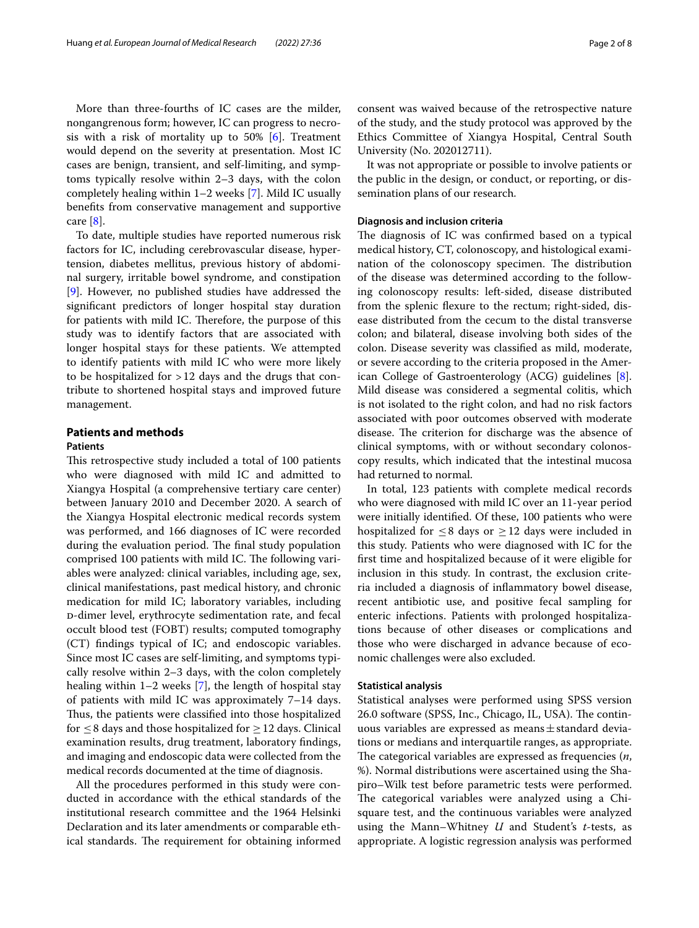More than three-fourths of IC cases are the milder, nongangrenous form; however, IC can progress to necrosis with a risk of mortality up to 50% [\[6](#page-6-5)]. Treatment would depend on the severity at presentation. Most IC cases are benign, transient, and self-limiting, and symptoms typically resolve within 2–3 days, with the colon completely healing within 1–2 weeks [\[7](#page-6-6)]. Mild IC usually benefts from conservative management and supportive care [\[8](#page-6-7)].

To date, multiple studies have reported numerous risk factors for IC, including cerebrovascular disease, hypertension, diabetes mellitus, previous history of abdominal surgery, irritable bowel syndrome, and constipation [[9\]](#page-6-8). However, no published studies have addressed the signifcant predictors of longer hospital stay duration for patients with mild IC. Therefore, the purpose of this study was to identify factors that are associated with longer hospital stays for these patients. We attempted to identify patients with mild IC who were more likely to be hospitalized for  $>12$  days and the drugs that contribute to shortened hospital stays and improved future management.

## **Patients and methods**

## **Patients**

This retrospective study included a total of 100 patients who were diagnosed with mild IC and admitted to Xiangya Hospital (a comprehensive tertiary care center) between January 2010 and December 2020. A search of the Xiangya Hospital electronic medical records system was performed, and 166 diagnoses of IC were recorded during the evaluation period. The final study population comprised 100 patients with mild IC. The following variables were analyzed: clinical variables, including age, sex, clinical manifestations, past medical history, and chronic medication for mild IC; laboratory variables, including d-dimer level, erythrocyte sedimentation rate, and fecal occult blood test (FOBT) results; computed tomography (CT) fndings typical of IC; and endoscopic variables. Since most IC cases are self-limiting, and symptoms typically resolve within 2–3 days, with the colon completely healing within 1–2 weeks [\[7\]](#page-6-6), the length of hospital stay of patients with mild IC was approximately 7–14 days. Thus, the patients were classified into those hospitalized for  $\leq$  8 days and those hospitalized for  $\geq$  12 days. Clinical examination results, drug treatment, laboratory fndings, and imaging and endoscopic data were collected from the medical records documented at the time of diagnosis.

All the procedures performed in this study were conducted in accordance with the ethical standards of the institutional research committee and the 1964 Helsinki Declaration and its later amendments or comparable ethical standards. The requirement for obtaining informed consent was waived because of the retrospective nature of the study, and the study protocol was approved by the Ethics Committee of Xiangya Hospital, Central South University (No. 202012711).

It was not appropriate or possible to involve patients or the public in the design, or conduct, or reporting, or dissemination plans of our research.

## **Diagnosis and inclusion criteria**

The diagnosis of IC was confirmed based on a typical medical history, CT, colonoscopy, and histological examination of the colonoscopy specimen. The distribution of the disease was determined according to the following colonoscopy results: left-sided, disease distributed from the splenic flexure to the rectum; right-sided, disease distributed from the cecum to the distal transverse colon; and bilateral, disease involving both sides of the colon. Disease severity was classifed as mild, moderate, or severe according to the criteria proposed in the American College of Gastroenterology (ACG) guidelines [\[8](#page-6-7)]. Mild disease was considered a segmental colitis, which is not isolated to the right colon, and had no risk factors associated with poor outcomes observed with moderate disease. The criterion for discharge was the absence of clinical symptoms, with or without secondary colonoscopy results, which indicated that the intestinal mucosa had returned to normal.

In total, 123 patients with complete medical records who were diagnosed with mild IC over an 11-year period were initially identifed. Of these, 100 patients who were hospitalized for  $\leq$ 8 days or  $\geq$  12 days were included in this study. Patients who were diagnosed with IC for the frst time and hospitalized because of it were eligible for inclusion in this study. In contrast, the exclusion criteria included a diagnosis of infammatory bowel disease, recent antibiotic use, and positive fecal sampling for enteric infections. Patients with prolonged hospitalizations because of other diseases or complications and those who were discharged in advance because of economic challenges were also excluded.

## **Statistical analysis**

Statistical analyses were performed using SPSS version 26.0 software (SPSS, Inc., Chicago, IL, USA). The continuous variables are expressed as means $\pm$ standard deviations or medians and interquartile ranges, as appropriate. The categorical variables are expressed as frequencies (*n*, %). Normal distributions were ascertained using the Shapiro–Wilk test before parametric tests were performed. The categorical variables were analyzed using a Chisquare test, and the continuous variables were analyzed using the Mann–Whitney *U* and Student's *t*-tests, as appropriate. A logistic regression analysis was performed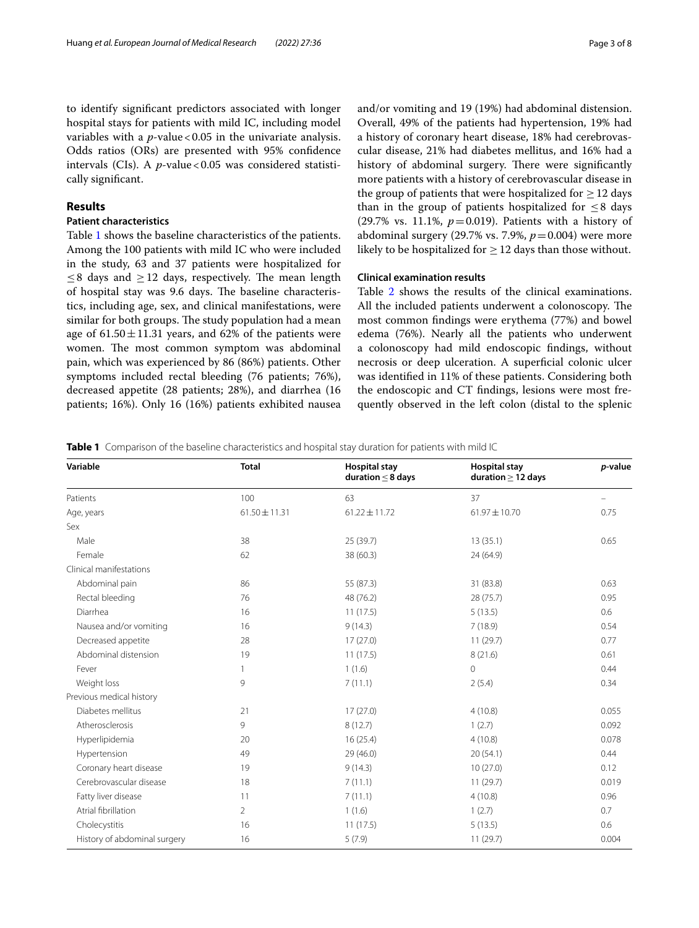to identify signifcant predictors associated with longer hospital stays for patients with mild IC, including model variables with a  $p$ -value < 0.05 in the univariate analysis. Odds ratios (ORs) are presented with 95% confdence intervals (CIs). A  $p$ -value < 0.05 was considered statistically signifcant.

## **Results**

## **Patient characteristics**

Table [1](#page-2-0) shows the baseline characteristics of the patients. Among the 100 patients with mild IC who were included in the study, 63 and 37 patients were hospitalized for  $\leq$ 8 days and  $\geq$  12 days, respectively. The mean length of hospital stay was 9.6 days. The baseline characteristics, including age, sex, and clinical manifestations, were similar for both groups. The study population had a mean age of  $61.50 \pm 11.31$  years, and 62% of the patients were women. The most common symptom was abdominal pain, which was experienced by 86 (86%) patients. Other symptoms included rectal bleeding (76 patients; 76%), decreased appetite (28 patients; 28%), and diarrhea (16 patients; 16%). Only 16 (16%) patients exhibited nausea and/or vomiting and 19 (19%) had abdominal distension. Overall, 49% of the patients had hypertension, 19% had a history of coronary heart disease, 18% had cerebrovascular disease, 21% had diabetes mellitus, and 16% had a history of abdominal surgery. There were significantly more patients with a history of cerebrovascular disease in the group of patients that were hospitalized for  $\geq$  12 days than in the group of patients hospitalized for  $\leq$ 8 days (29.7% vs. 11.1%, *p*=0.019). Patients with a history of abdominal surgery (29.7% vs. 7.9%, *p*=0.004) were more likely to be hospitalized for  $\geq$  12 days than those without.

## **Clinical examination results**

Table [2](#page-3-0) shows the results of the clinical examinations. All the included patients underwent a colonoscopy. The most common fndings were erythema (77%) and bowel edema (76%). Nearly all the patients who underwent a colonoscopy had mild endoscopic fndings, without necrosis or deep ulceration. A superficial colonic ulcer was identifed in 11% of these patients. Considering both the endoscopic and CT fndings, lesions were most frequently observed in the left colon (distal to the splenic

<span id="page-2-0"></span>**Table 1** Comparison of the baseline characteristics and hospital stay duration for patients with mild IC

| Variable                     | <b>Total</b>      | <b>Hospital stay</b><br>duration $\leq$ 8 days | <b>Hospital stay</b><br>duration $\geq$ 12 days | p-value  |  |
|------------------------------|-------------------|------------------------------------------------|-------------------------------------------------|----------|--|
| Patients                     | 100               | 63                                             | 37                                              | $\equiv$ |  |
| Age, years                   | $61.50 \pm 11.31$ | $61.22 \pm 11.72$                              | $61.97 \pm 10.70$                               | 0.75     |  |
| Sex                          |                   |                                                |                                                 |          |  |
| Male                         | 38                | 25 (39.7)                                      | 13(35.1)                                        | 0.65     |  |
| Female                       | 62                | 38 (60.3)                                      | 24 (64.9)                                       |          |  |
| Clinical manifestations      |                   |                                                |                                                 |          |  |
| Abdominal pain               | 86                | 55 (87.3)                                      | 31 (83.8)                                       | 0.63     |  |
| Rectal bleeding              | 76                | 48 (76.2)                                      | 28 (75.7)                                       | 0.95     |  |
| Diarrhea                     | 16                | 11(17.5)                                       | 5(13.5)                                         | 0.6      |  |
| Nausea and/or vomiting       | 16                | 9(14.3)                                        | 7(18.9)                                         | 0.54     |  |
| Decreased appetite           | 28                | 17(27.0)                                       | 11(29.7)                                        | 0.77     |  |
| Abdominal distension         | 19                | 11(17.5)                                       | 8(21.6)                                         | 0.61     |  |
| Fever                        | 1                 | 1(1.6)                                         | $\mathbf 0$                                     | 0.44     |  |
| Weight loss                  | 9                 | 7(11.1)                                        | 2(5.4)                                          | 0.34     |  |
| Previous medical history     |                   |                                                |                                                 |          |  |
| Diabetes mellitus            | 21                | 17(27.0)                                       | 4(10.8)                                         | 0.055    |  |
| Atherosclerosis              | 9                 | 8(12.7)                                        | 1(2.7)                                          | 0.092    |  |
| Hyperlipidemia               | 20                | 16(25.4)                                       | 4(10.8)                                         | 0.078    |  |
| Hypertension                 | 49                | 29(46.0)                                       | 20(54.1)                                        | 0.44     |  |
| Coronary heart disease       | 19                | 9(14.3)                                        | 10(27.0)                                        | 0.12     |  |
| Cerebrovascular disease      | 18                | 7(11.1)                                        | 11(29.7)                                        | 0.019    |  |
| Fatty liver disease          | 11                | 7(11.1)                                        | 4(10.8)                                         | 0.96     |  |
| Atrial fibrillation          | $\overline{2}$    | 1(1.6)                                         | 1(2.7)                                          | 0.7      |  |
| Cholecystitis                | 16                | 11(17.5)                                       | 5(13.5)                                         | 0.6      |  |
| History of abdominal surgery | 16                | 5(7.9)                                         | 11(29.7)                                        | 0.004    |  |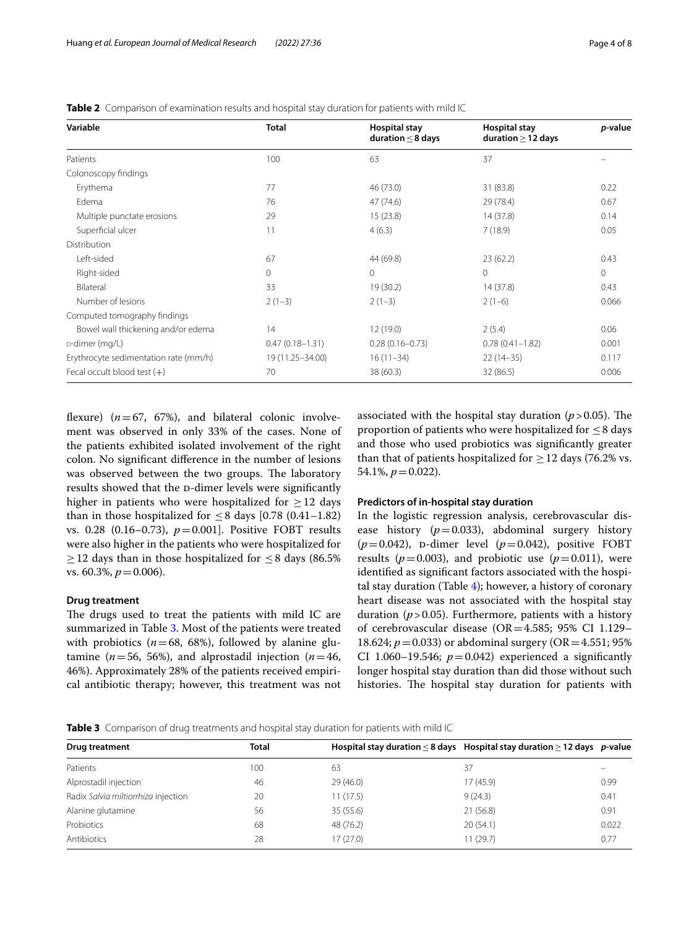<span id="page-3-0"></span>**Table 2** Comparison of examination results and hospital stay duration for patients with mild IC

| Variable                              | <b>Total</b>        | <b>Hospital stay</b><br>duration $\leq$ 8 days | <b>Hospital stay</b><br>duration $\geq$ 12 days | p-value |  |
|---------------------------------------|---------------------|------------------------------------------------|-------------------------------------------------|---------|--|
| Patients                              | 100                 | 63                                             | 37                                              |         |  |
| Colonoscopy findings                  |                     |                                                |                                                 |         |  |
| Erythema                              | 77                  | 46 (73.0)                                      | 31 (83.8)                                       | 0.22    |  |
| Edema                                 | 76                  | 47 (74.6)                                      | 29 (78.4)                                       | 0.67    |  |
| Multiple punctate erosions            | 29                  | 15(23.8)                                       | 14 (37.8)                                       | 0.14    |  |
| Superficial ulcer                     | 11                  | 4(6.3)                                         | 7(18.9)                                         | 0.05    |  |
| Distribution                          |                     |                                                |                                                 |         |  |
| Left-sided                            | 67                  | 44 (69.8)                                      | 23(62.2)                                        | 0.43    |  |
| Right-sided                           | 0                   | $\mathbf{0}$                                   | $\Omega$                                        | 0       |  |
| Bilateral                             | 33                  | 19 (30.2)                                      | 14 (37.8)                                       | 0.43    |  |
| Number of lesions                     | $2(1-3)$            | $2(1-3)$                                       | $2(1-6)$                                        | 0.066   |  |
| Computed tomography findings          |                     |                                                |                                                 |         |  |
| Bowel wall thickening and/or edema    | 14                  | 12(19.0)                                       | 2(5.4)                                          | 0.06    |  |
| D-dimer (mg/L)                        | $0.47(0.18 - 1.31)$ | $0.28(0.16 - 0.73)$                            | $0.78(0.41 - 1.82)$                             | 0.001   |  |
| Erythrocyte sedimentation rate (mm/h) | 19 (11.25 - 34.00)  | $16(11-34)$                                    | $22(14-35)$                                     | 0.117   |  |
| Fecal occult blood test $(+)$         | 70                  | 38 (60.3)                                      | 32(86.5)                                        | 0.006   |  |

flexure)  $(n=67, 67%)$ , and bilateral colonic involvement was observed in only 33% of the cases. None of the patients exhibited isolated involvement of the right colon. No signifcant diference in the number of lesions was observed between the two groups. The laboratory results showed that the p-dimer levels were significantly higher in patients who were hospitalized for  $\geq$  12 days than in those hospitalized for  $\leq$ 8 days [0.78 (0.41–1.82) vs. 0.28 (0.16–0.73), *p*=0.001]. Positive FOBT results were also higher in the patients who were hospitalized for  $\geq$  12 days than in those hospitalized for  $\leq$  8 days (86.5%) vs. 60.3%,  $p = 0.006$ ).

## **Drug treatment**

The drugs used to treat the patients with mild IC are summarized in Table [3](#page-3-1). Most of the patients were treated with probiotics  $(n=68, 68%)$ , followed by alanine glutamine ( $n=56$ , 56%), and alprostadil injection ( $n=46$ , 46%). Approximately 28% of the patients received empirical antibiotic therapy; however, this treatment was not associated with the hospital stay duration  $(p > 0.05)$ . The proportion of patients who were hospitalized for  $\leq$ 8 days and those who used probiotics was signifcantly greater than that of patients hospitalized for  $\geq$  12 days (76.2% vs. 54.1%,  $p = 0.022$ ).

## **Predictors of in-hospital stay duration**

In the logistic regression analysis, cerebrovascular disease history  $(p=0.033)$ , abdominal surgery history  $(p=0.042)$ , p-dimer level  $(p=0.042)$ , positive FOBT results ( $p=0.003$ ), and probiotic use ( $p=0.011$ ), were identifed as signifcant factors associated with the hospital stay duration (Table  $4$ ); however, a history of coronary heart disease was not associated with the hospital stay duration (*p*>0.05). Furthermore, patients with a history of cerebrovascular disease (OR=4.585; 95% CI 1.129– 18.624;  $p = 0.033$ ) or abdominal surgery (OR = 4.551; 95%) CI 1.060–19.546;  $p=0.042$ ) experienced a significantly longer hospital stay duration than did those without such histories. The hospital stay duration for patients with

<span id="page-3-1"></span>**Table 3** Comparison of drug treatments and hospital stay duration for patients with mild IC

| Drug treatment                      | Total |           | Hospital stay duration $\leq$ 8 days Hospital stay duration $\geq$ 12 days p-value |       |
|-------------------------------------|-------|-----------|------------------------------------------------------------------------------------|-------|
| Patients                            | 100   | 63        | 37                                                                                 |       |
| Alprostadil injection               | 46    | 29(46.0)  | 17(45.9)                                                                           | 0.99  |
| Radix Salvia miltiorrhiza injection | 20    | 11 (17.5) | 9(24.3)                                                                            | 0.41  |
| Alanine glutamine                   | 56    | 35 (55.6) | 21(56.8)                                                                           | 0.91  |
| Probiotics                          | 68    | 48 (76.2) | 20(54.1)                                                                           | 0.022 |
| Antibiotics                         | 28    | 17 (27.0) | 11 (29.7)                                                                          | 0.77  |
|                                     |       |           |                                                                                    |       |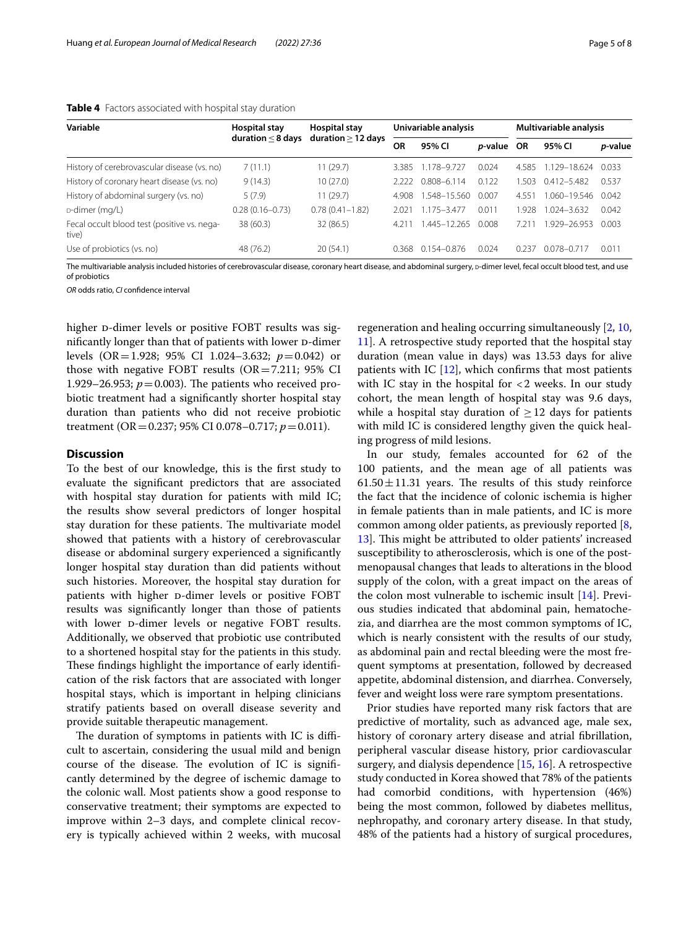|  |  | raye o |  |
|--|--|--------|--|
|  |  |        |  |

<span id="page-4-0"></span>

| Variable                                             | Hospital stay<br>duration $<$ 8 days | Hospital stay<br>duration $\geq$ 12 days | Univariable analysis |                 |            | Multivariable analysis |                 |         |
|------------------------------------------------------|--------------------------------------|------------------------------------------|----------------------|-----------------|------------|------------------------|-----------------|---------|
|                                                      |                                      |                                          | ΟR                   | 95% CI          | p-value OR |                        | 95% CI          | p-value |
| History of cerebrovascular disease (vs. no)          | 7(11.1)                              | 11(29.7)                                 | 3.385                | 1.178-9.727     | 0.024      | 4.585                  | $.129 - 18.624$ | 0033    |
| History of coronary heart disease (vs. no)           | 9(14.3)                              | 10(27.0)                                 | 2.222                | $0.808 - 6.114$ | 0.122      | 1.503                  | $0.412 - 5.482$ | 0.537   |
| History of abdominal surgery (vs. no)                | 5(7.9)                               | 11(29.7)                                 | 4.908                | 1.548-15.560    | 0.007      | 4.551                  | .060-19.546     | 0.042   |
| D-dimer (mg/L)                                       | $0.28(0.16 - 0.73)$                  | $0.78(0.41 - 1.82)$                      | 2.021                | 1.175-3.477     | 0.011      | .928                   | $.024 - 3.632$  | 0.042   |
| Fecal occult blood test (positive vs. nega-<br>tive) | 38(60.3)                             | 32 (86.5)                                | 4.211                | $.445 - 12.265$ | 0.008      | 7 2 1 1                | .929-26.953     | 0.003   |
| Use of probiotics (vs. no)                           | 48 (76.2)                            | 20(54.1)                                 | 0368                 | $0.154 - 0.876$ | 0.024      | 0.237                  | $0.078 - 0.717$ | 0.011   |

The multivariable analysis included histories of cerebrovascular disease, coronary heart disease, and abdominal surgery, p-dimer level, fecal occult blood test, and use of probiotics

*OR* odds ratio, *CI* confdence interval

higher p-dimer levels or positive FOBT results was significantly longer than that of patients with lower D-dimer levels (OR=1.928; 95% CI 1.024–3.632; *p*=0.042) or those with negative FOBT results  $(OR = 7.211; 95\% \text{ CI})$ 1.929–26.953;  $p = 0.003$ ). The patients who received probiotic treatment had a signifcantly shorter hospital stay duration than patients who did not receive probiotic treatment (OR=0.237; 95% CI 0.078–0.717; *p*=0.011).

## **Discussion**

To the best of our knowledge, this is the frst study to evaluate the signifcant predictors that are associated with hospital stay duration for patients with mild IC; the results show several predictors of longer hospital stay duration for these patients. The multivariate model showed that patients with a history of cerebrovascular disease or abdominal surgery experienced a signifcantly longer hospital stay duration than did patients without such histories. Moreover, the hospital stay duration for patients with higher p-dimer levels or positive FOBT results was signifcantly longer than those of patients with lower p-dimer levels or negative FOBT results. Additionally, we observed that probiotic use contributed to a shortened hospital stay for the patients in this study. These findings highlight the importance of early identification of the risk factors that are associated with longer hospital stays, which is important in helping clinicians stratify patients based on overall disease severity and provide suitable therapeutic management.

The duration of symptoms in patients with IC is difficult to ascertain, considering the usual mild and benign course of the disease. The evolution of  $IC$  is significantly determined by the degree of ischemic damage to the colonic wall. Most patients show a good response to conservative treatment; their symptoms are expected to improve within 2–3 days, and complete clinical recovery is typically achieved within 2 weeks, with mucosal

regeneration and healing occurring simultaneously [\[2](#page-6-1), [10](#page-6-9), [11\]](#page-6-10). A retrospective study reported that the hospital stay duration (mean value in days) was 13.53 days for alive patients with IC  $[12]$  $[12]$ , which confirms that most patients with IC stay in the hospital for <2 weeks. In our study cohort, the mean length of hospital stay was 9.6 days, while a hospital stay duration of  $\geq$  12 days for patients with mild IC is considered lengthy given the quick healing progress of mild lesions.

In our study, females accounted for 62 of the 100 patients, and the mean age of all patients was  $61.50 \pm 11.31$  years. The results of this study reinforce the fact that the incidence of colonic ischemia is higher in female patients than in male patients, and IC is more common among older patients, as previously reported [\[8](#page-6-7), [13\]](#page-7-0). This might be attributed to older patients' increased susceptibility to atherosclerosis, which is one of the postmenopausal changes that leads to alterations in the blood supply of the colon, with a great impact on the areas of the colon most vulnerable to ischemic insult [[14](#page-7-1)]. Previous studies indicated that abdominal pain, hematochezia, and diarrhea are the most common symptoms of IC, which is nearly consistent with the results of our study, as abdominal pain and rectal bleeding were the most frequent symptoms at presentation, followed by decreased appetite, abdominal distension, and diarrhea. Conversely, fever and weight loss were rare symptom presentations.

Prior studies have reported many risk factors that are predictive of mortality, such as advanced age, male sex, history of coronary artery disease and atrial fbrillation, peripheral vascular disease history, prior cardiovascular surgery, and dialysis dependence [[15,](#page-7-2) [16\]](#page-7-3). A retrospective study conducted in Korea showed that 78% of the patients had comorbid conditions, with hypertension (46%) being the most common, followed by diabetes mellitus, nephropathy, and coronary artery disease. In that study, 48% of the patients had a history of surgical procedures,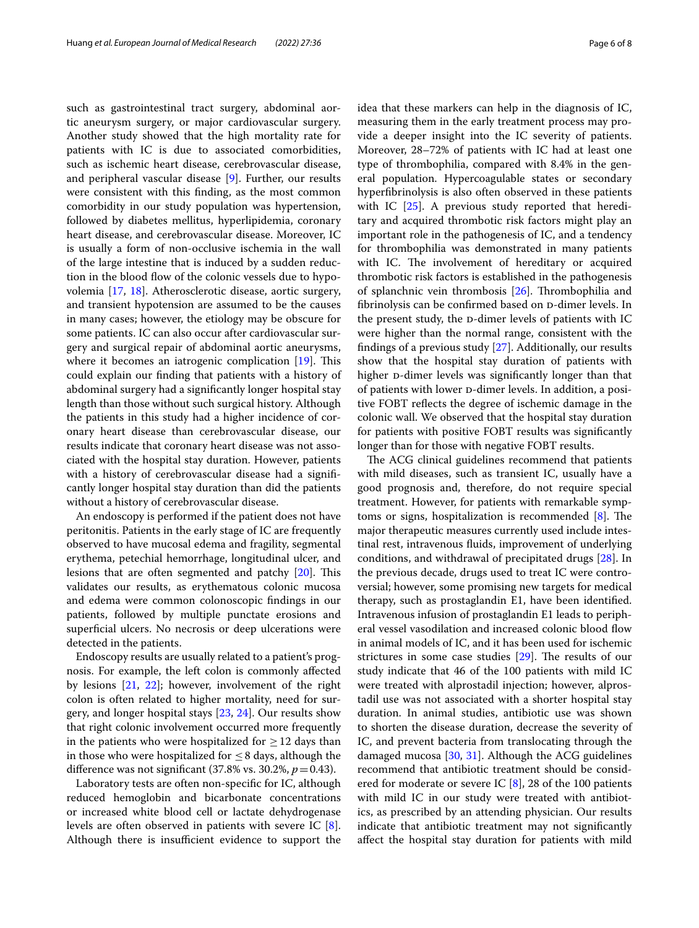such as gastrointestinal tract surgery, abdominal aortic aneurysm surgery, or major cardiovascular surgery. Another study showed that the high mortality rate for patients with IC is due to associated comorbidities, such as ischemic heart disease, cerebrovascular disease, and peripheral vascular disease [\[9](#page-6-8)]. Further, our results were consistent with this fnding, as the most common comorbidity in our study population was hypertension, followed by diabetes mellitus, hyperlipidemia, coronary heart disease, and cerebrovascular disease. Moreover, IC is usually a form of non-occlusive ischemia in the wall of the large intestine that is induced by a sudden reduction in the blood flow of the colonic vessels due to hypovolemia [\[17](#page-7-4), [18\]](#page-7-5). Atherosclerotic disease, aortic surgery, and transient hypotension are assumed to be the causes in many cases; however, the etiology may be obscure for some patients. IC can also occur after cardiovascular surgery and surgical repair of abdominal aortic aneurysms, where it becomes an iatrogenic complication  $[19]$  $[19]$ . This could explain our fnding that patients with a history of abdominal surgery had a signifcantly longer hospital stay length than those without such surgical history. Although the patients in this study had a higher incidence of coronary heart disease than cerebrovascular disease, our results indicate that coronary heart disease was not associated with the hospital stay duration. However, patients with a history of cerebrovascular disease had a signifcantly longer hospital stay duration than did the patients without a history of cerebrovascular disease.

An endoscopy is performed if the patient does not have peritonitis. Patients in the early stage of IC are frequently observed to have mucosal edema and fragility, segmental erythema, petechial hemorrhage, longitudinal ulcer, and lesions that are often segmented and patchy [[20\]](#page-7-7). This validates our results, as erythematous colonic mucosa and edema were common colonoscopic fndings in our patients, followed by multiple punctate erosions and superficial ulcers. No necrosis or deep ulcerations were detected in the patients.

Endoscopy results are usually related to a patient's prognosis. For example, the left colon is commonly afected by lesions [[21,](#page-7-8) [22\]](#page-7-9); however, involvement of the right colon is often related to higher mortality, need for surgery, and longer hospital stays [[23,](#page-7-10) [24\]](#page-7-11). Our results show that right colonic involvement occurred more frequently in the patients who were hospitalized for  $\geq$  12 days than in those who were hospitalized for  $\leq$ 8 days, although the difference was not significant  $(37.8\% \text{ vs. } 30.2\%, p=0.43)$ .

Laboratory tests are often non-specifc for IC, although reduced hemoglobin and bicarbonate concentrations or increased white blood cell or lactate dehydrogenase levels are often observed in patients with severe IC [\[8](#page-6-7)]. Although there is insufficient evidence to support the idea that these markers can help in the diagnosis of IC, measuring them in the early treatment process may provide a deeper insight into the IC severity of patients. Moreover, 28–72% of patients with IC had at least one type of thrombophilia, compared with 8.4% in the general population. Hypercoagulable states or secondary hyperfbrinolysis is also often observed in these patients with IC [[25](#page-7-12)]. A previous study reported that hereditary and acquired thrombotic risk factors might play an important role in the pathogenesis of IC, and a tendency for thrombophilia was demonstrated in many patients with IC. The involvement of hereditary or acquired thrombotic risk factors is established in the pathogenesis of splanchnic vein thrombosis [[26\]](#page-7-13). Thrombophilia and fibrinolysis can be confirmed based on  $D$ -dimer levels. In the present study, the D-dimer levels of patients with IC were higher than the normal range, consistent with the fndings of a previous study [[27](#page-7-14)]. Additionally, our results show that the hospital stay duration of patients with higher D-dimer levels was significantly longer than that of patients with lower p-dimer levels. In addition, a positive FOBT refects the degree of ischemic damage in the colonic wall. We observed that the hospital stay duration for patients with positive FOBT results was signifcantly longer than for those with negative FOBT results.

The ACG clinical guidelines recommend that patients with mild diseases, such as transient IC, usually have a good prognosis and, therefore, do not require special treatment. However, for patients with remarkable symptoms or signs, hospitalization is recommended  $[8]$  $[8]$ . The major therapeutic measures currently used include intestinal rest, intravenous fuids, improvement of underlying conditions, and withdrawal of precipitated drugs [[28\]](#page-7-15). In the previous decade, drugs used to treat IC were controversial; however, some promising new targets for medical therapy, such as prostaglandin E1, have been identifed. Intravenous infusion of prostaglandin E1 leads to peripheral vessel vasodilation and increased colonic blood flow in animal models of IC, and it has been used for ischemic strictures in some case studies  $[29]$  $[29]$ . The results of our study indicate that 46 of the 100 patients with mild IC were treated with alprostadil injection; however, alprostadil use was not associated with a shorter hospital stay duration. In animal studies, antibiotic use was shown to shorten the disease duration, decrease the severity of IC, and prevent bacteria from translocating through the damaged mucosa [\[30](#page-7-17), [31](#page-7-18)]. Although the ACG guidelines recommend that antibiotic treatment should be considered for moderate or severe IC [[8\]](#page-6-7), 28 of the 100 patients with mild IC in our study were treated with antibiotics, as prescribed by an attending physician. Our results indicate that antibiotic treatment may not signifcantly afect the hospital stay duration for patients with mild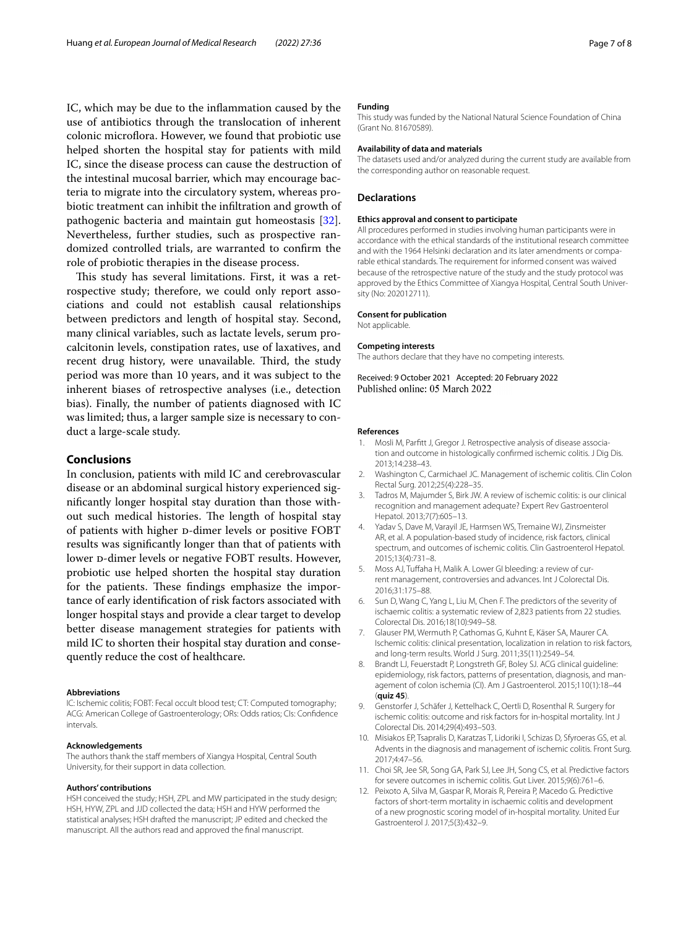IC, which may be due to the infammation caused by the use of antibiotics through the translocation of inherent colonic microflora. However, we found that probiotic use helped shorten the hospital stay for patients with mild IC, since the disease process can cause the destruction of the intestinal mucosal barrier, which may encourage bacteria to migrate into the circulatory system, whereas probiotic treatment can inhibit the infltration and growth of pathogenic bacteria and maintain gut homeostasis [\[32](#page-7-19)]. Nevertheless, further studies, such as prospective randomized controlled trials, are warranted to confrm the role of probiotic therapies in the disease process.

This study has several limitations. First, it was a retrospective study; therefore, we could only report associations and could not establish causal relationships between predictors and length of hospital stay. Second, many clinical variables, such as lactate levels, serum procalcitonin levels, constipation rates, use of laxatives, and recent drug history, were unavailable. Third, the study period was more than 10 years, and it was subject to the inherent biases of retrospective analyses (i.e., detection bias). Finally, the number of patients diagnosed with IC was limited; thus, a larger sample size is necessary to conduct a large-scale study.

## **Conclusions**

In conclusion, patients with mild IC and cerebrovascular disease or an abdominal surgical history experienced signifcantly longer hospital stay duration than those without such medical histories. The length of hospital stay of patients with higher D-dimer levels or positive FOBT results was signifcantly longer than that of patients with lower p-dimer levels or negative FOBT results. However, probiotic use helped shorten the hospital stay duration for the patients. These findings emphasize the importance of early identifcation of risk factors associated with longer hospital stays and provide a clear target to develop better disease management strategies for patients with mild IC to shorten their hospital stay duration and consequently reduce the cost of healthcare.

#### **Abbreviations**

IC: Ischemic colitis; FOBT: Fecal occult blood test; CT: Computed tomography; ACG: American College of Gastroenterology; ORs: Odds ratios; CIs: Confdence intervals.

#### **Acknowledgements**

The authors thank the staff members of Xiangya Hospital, Central South University, for their support in data collection.

#### **Authors' contributions**

HSH conceived the study; HSH, ZPL and MW participated in the study design; HSH, HYW, ZPL and JJD collected the data; HSH and HYW performed the statistical analyses; HSH drafted the manuscript; JP edited and checked the manuscript. All the authors read and approved the fnal manuscript.

## **Funding**

This study was funded by the National Natural Science Foundation of China (Grant No. 81670589).

#### **Availability of data and materials**

The datasets used and/or analyzed during the current study are available from the corresponding author on reasonable request.

## **Declarations**

#### **Ethics approval and consent to participate**

All procedures performed in studies involving human participants were in accordance with the ethical standards of the institutional research committee and with the 1964 Helsinki declaration and its later amendments or comparable ethical standards. The requirement for informed consent was waived because of the retrospective nature of the study and the study protocol was approved by the Ethics Committee of Xiangya Hospital, Central South University (No: 202012711).

#### **Consent for publication**

Not applicable.

#### **Competing interests**

The authors declare that they have no competing interests.

Received: 9 October 2021 Accepted: 20 February 2022 Published online: 05 March 2022

#### **References**

- <span id="page-6-0"></span>Mosli M, Parfitt J, Gregor J. Retrospective analysis of disease association and outcome in histologically confrmed ischemic colitis. J Dig Dis. 2013;14:238–43.
- <span id="page-6-1"></span>2. Washington C, Carmichael JC. Management of ischemic colitis. Clin Colon Rectal Surg. 2012;25(4):228–35.
- <span id="page-6-2"></span>3. Tadros M, Majumder S, Birk JW. A review of ischemic colitis: is our clinical recognition and management adequate? Expert Rev Gastroenterol Hepatol. 2013;7(7):605–13.
- <span id="page-6-3"></span>4. Yadav S, Dave M, Varayil JE, Harmsen WS, Tremaine WJ, Zinsmeister AR, et al. A population-based study of incidence, risk factors, clinical spectrum, and outcomes of ischemic colitis. Clin Gastroenterol Hepatol. 2015;13(4):731–8.
- <span id="page-6-4"></span>5. Moss AJ, Tufaha H, Malik A. Lower GI bleeding: a review of current management, controversies and advances. Int J Colorectal Dis. 2016;31:175–88.
- <span id="page-6-5"></span>6. Sun D, Wang C, Yang L, Liu M, Chen F. The predictors of the severity of ischaemic colitis: a systematic review of 2,823 patients from 22 studies. Colorectal Dis. 2016;18(10):949–58.
- <span id="page-6-6"></span>7. Glauser PM, Wermuth P, Cathomas G, Kuhnt E, Käser SA, Maurer CA. Ischemic colitis: clinical presentation, localization in relation to risk factors, and long-term results. World J Surg. 2011;35(11):2549–54.
- <span id="page-6-7"></span>8. Brandt LJ, Feuerstadt P, Longstreth GF, Boley SJ. ACG clinical guideline: epidemiology, risk factors, patterns of presentation, diagnosis, and management of colon ischemia (CI). Am J Gastroenterol. 2015;110(1):18–44 (**quiz 45**).
- <span id="page-6-8"></span>9. Genstorfer J, Schäfer J, Kettelhack C, Oertli D, Rosenthal R. Surgery for ischemic colitis: outcome and risk factors for in-hospital mortality. Int J Colorectal Dis. 2014;29(4):493–503.
- <span id="page-6-9"></span>10. Misiakos EP, Tsapralis D, Karatzas T, Lidoriki I, Schizas D, Sfyroeras GS, et al. Advents in the diagnosis and management of ischemic colitis. Front Surg. 2017;4:47–56.
- <span id="page-6-10"></span>11. Choi SR, Jee SR, Song GA, Park SJ, Lee JH, Song CS, et al. Predictive factors for severe outcomes in ischemic colitis. Gut Liver. 2015;9(6):761–6.
- <span id="page-6-11"></span>12. Peixoto A, Silva M, Gaspar R, Morais R, Pereira P, Macedo G. Predictive factors of short-term mortality in ischaemic colitis and development of a new prognostic scoring model of in-hospital mortality. United Eur Gastroenterol J. 2017;5(3):432–9.